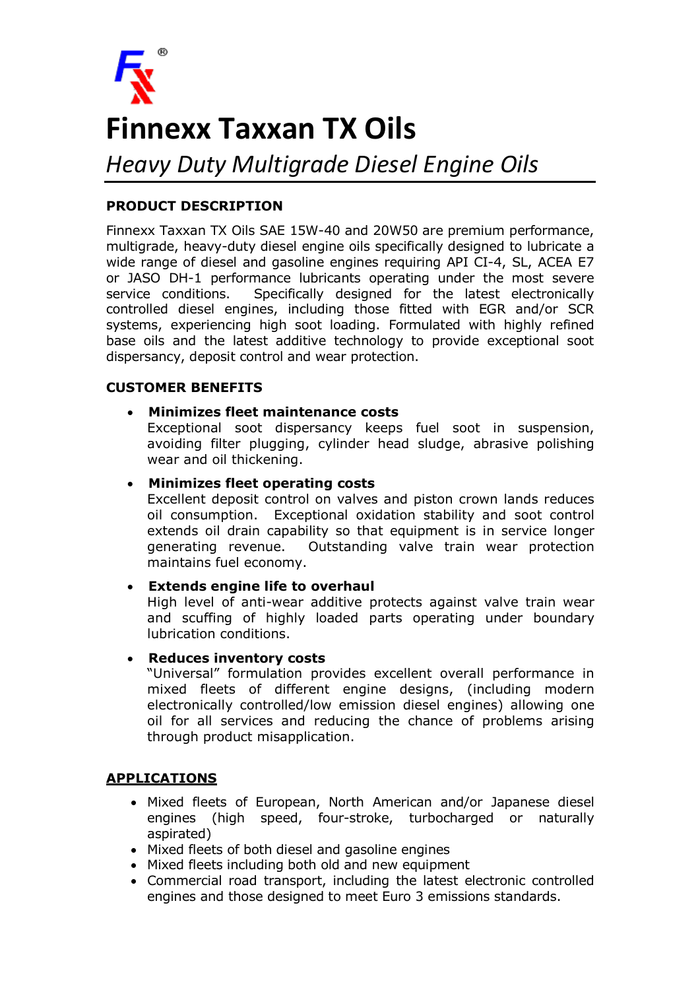

# **Finnexx Taxxan TX Oils**

*Heavy Duty Multigrade Diesel Engine Oils*

## **PRODUCT DESCRIPTION**

Finnexx Taxxan TX Oils SAE 15W-40 and 20W50 are premium performance, multigrade, heavy-duty diesel engine oils specifically designed to lubricate a wide range of diesel and gasoline engines requiring API CI-4, SL, ACEA E7 or JASO DH-1 performance lubricants operating under the most severe service conditions. Specifically designed for the latest electronically controlled diesel engines, including those fitted with EGR and/or SCR systems, experiencing high soot loading. Formulated with highly refined base oils and the latest additive technology to provide exceptional soot dispersancy, deposit control and wear protection.

### **CUSTOMER BENEFITS**

#### • **Minimizes fleet maintenance costs**

Exceptional soot dispersancy keeps fuel soot in suspension, avoiding filter plugging, cylinder head sludge, abrasive polishing wear and oil thickening.

### • **Minimizes fleet operating costs**

Excellent deposit control on valves and piston crown lands reduces oil consumption. Exceptional oxidation stability and soot control extends oil drain capability so that equipment is in service longer generating revenue. Outstanding valve train wear protection maintains fuel economy.

### • **Extends engine life to overhaul**

High level of anti-wear additive protects against valve train wear and scuffing of highly loaded parts operating under boundary lubrication conditions.

#### • **Reduces inventory costs**

"Universal" formulation provides excellent overall performance in mixed fleets of different engine designs, (including modern electronically controlled/low emission diesel engines) allowing one oil for all services and reducing the chance of problems arising through product misapplication.

### **APPLICATIONS**

- Mixed fleets of European, North American and/or Japanese diesel engines (high speed, four-stroke, turbocharged or naturally aspirated)
- Mixed fleets of both diesel and gasoline engines
- Mixed fleets including both old and new equipment
- Commercial road transport, including the latest electronic controlled engines and those designed to meet Euro 3 emissions standards.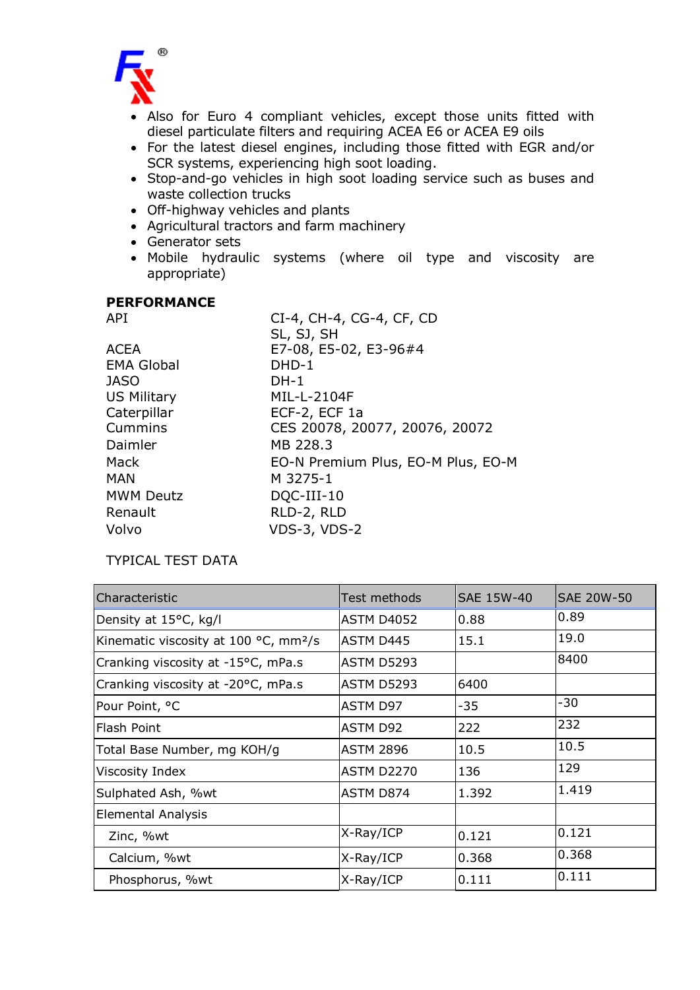

- Also for Euro 4 compliant vehicles, except those units fitted with diesel particulate filters and requiring ACEA E6 or ACEA E9 oils
- For the latest diesel engines, including those fitted with EGR and/or SCR systems, experiencing high soot loading.
- Stop-and-go vehicles in high soot loading service such as buses and waste collection trucks
- Off-highway vehicles and plants
- Agricultural tractors and farm machinery
- Generator sets
- Mobile hydraulic systems (where oil type and viscosity are appropriate)

#### **PERFORMANCE**

| API                | CI-4, CH-4, CG-4, CF, CD           |  |  |
|--------------------|------------------------------------|--|--|
|                    | SL, SJ, SH                         |  |  |
| <b>ACEA</b>        | E7-08, E5-02, E3-96#4              |  |  |
| <b>EMA Global</b>  | $DHD-1$                            |  |  |
| <b>JASO</b>        | $DH-1$                             |  |  |
| <b>US Military</b> | MIL-L-2104F                        |  |  |
| Caterpillar        | ECF-2, ECF 1a                      |  |  |
| Cummins            | CES 20078, 20077, 20076, 20072     |  |  |
| Daimler            | MB 228.3                           |  |  |
| Mack               | EO-N Premium Plus, EO-M Plus, EO-M |  |  |
| <b>MAN</b>         | M 3275-1                           |  |  |
| <b>MWM Deutz</b>   | DQC-III-10                         |  |  |
| Renault            | RLD-2, RLD                         |  |  |
| Volvo              | <b>VDS-3, VDS-2</b>                |  |  |

## TYPICAL TEST DATA

| Characteristic                                    | Test methods      | <b>SAE 15W-40</b> | <b>SAE 20W-50</b> |
|---------------------------------------------------|-------------------|-------------------|-------------------|
| Density at 15°C, kg/l                             | <b>ASTM D4052</b> | 0.88              | 0.89              |
| Kinematic viscosity at 100 °C, mm <sup>2</sup> /s | <b>ASTM D445</b>  | 15.1              | 19.0              |
| Cranking viscosity at -15°C, mPa.s                | <b>ASTM D5293</b> |                   | 8400              |
| Cranking viscosity at -20°C, mPa.s                | <b>ASTM D5293</b> | 6400              |                   |
| Pour Point, °C                                    | ASTM D97          | $-35$             | -30               |
| Flash Point                                       | ASTM D92          | 222               | 232               |
| Total Base Number, mg KOH/g                       | <b>ASTM 2896</b>  | 10.5              | 10.5              |
| Viscosity Index                                   | <b>ASTM D2270</b> | 136               | 129               |
| Sulphated Ash, %wt                                | ASTM D874         | 1.392             | 1.419             |
| <b>Elemental Analysis</b>                         |                   |                   |                   |
| Zinc, %wt                                         | $X-Ray/ICP$       | 0.121             | 0.121             |
| Calcium, %wt                                      | $X-Ray/ICP$       | 0.368             | 0.368             |
| Phosphorus, %wt                                   | X-Ray/ICP         | 0.111             | 0.111             |